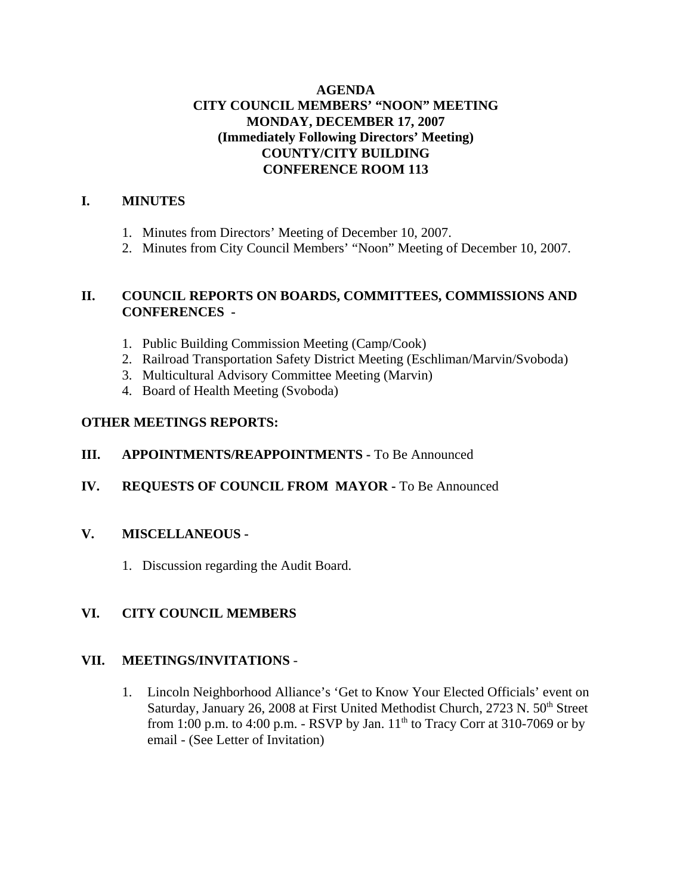#### **AGENDA CITY COUNCIL MEMBERS' "NOON" MEETING MONDAY, DECEMBER 17, 2007 (Immediately Following Directors' Meeting) COUNTY/CITY BUILDING CONFERENCE ROOM 113**

#### **I. MINUTES**

- 1. Minutes from Directors' Meeting of December 10, 2007.
- 2. Minutes from City Council Members' "Noon" Meeting of December 10, 2007.

#### **II. COUNCIL REPORTS ON BOARDS, COMMITTEES, COMMISSIONS AND CONFERENCES -**

- 1. Public Building Commission Meeting (Camp/Cook)
- 2. Railroad Transportation Safety District Meeting (Eschliman/Marvin/Svoboda)
- 3. Multicultural Advisory Committee Meeting (Marvin)
- 4. Board of Health Meeting (Svoboda)

#### **OTHER MEETINGS REPORTS:**

#### **III.** APPOINTMENTS/REAPPOINTMENTS - To Be Announced

**IV. REQUESTS OF COUNCIL FROM MAYOR -** To Be Announced

#### **V. MISCELLANEOUS -**

1. Discussion regarding the Audit Board.

#### **VI. CITY COUNCIL MEMBERS**

#### **VII. MEETINGS/INVITATIONS** -

1. Lincoln Neighborhood Alliance's 'Get to Know Your Elected Officials' event on Saturday, January 26, 2008 at First United Methodist Church, 2723 N. 50<sup>th</sup> Street from 1:00 p.m. to 4:00 p.m. - RSVP by Jan.  $11<sup>th</sup>$  to Tracy Corr at 310-7069 or by email - (See Letter of Invitation)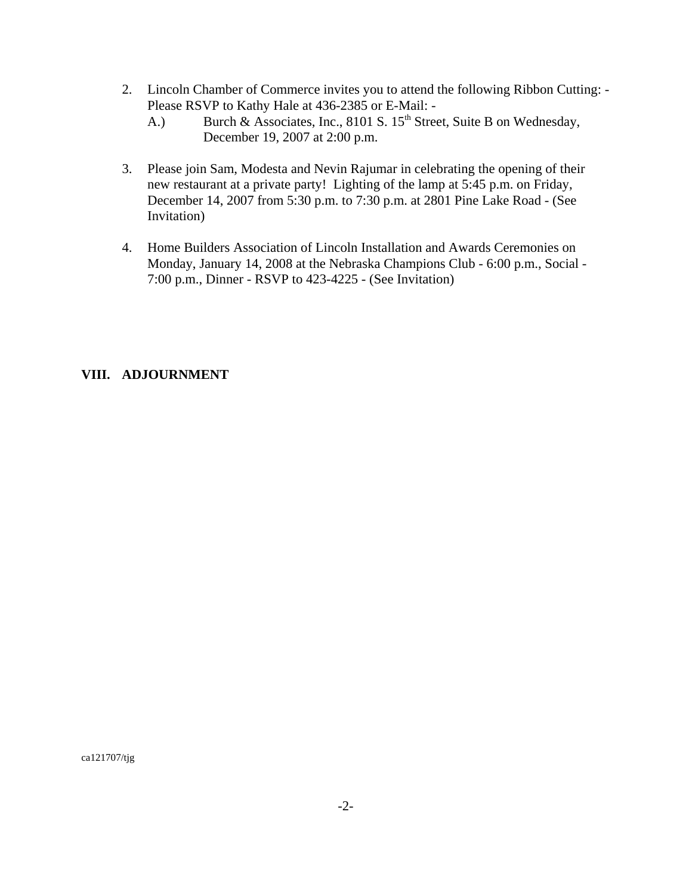- 2. Lincoln Chamber of Commerce invites you to attend the following Ribbon Cutting: Please RSVP to Kathy Hale at 436-2385 or E-Mail: -
	- A.) Burch & Associates, Inc., 8101 S.  $15<sup>th</sup>$  Street, Suite B on Wednesday, December 19, 2007 at 2:00 p.m.
- 3. Please join Sam, Modesta and Nevin Rajumar in celebrating the opening of their new restaurant at a private party! Lighting of the lamp at 5:45 p.m. on Friday, December 14, 2007 from 5:30 p.m. to 7:30 p.m. at 2801 Pine Lake Road - (See Invitation)
- 4. Home Builders Association of Lincoln Installation and Awards Ceremonies on Monday, January 14, 2008 at the Nebraska Champions Club - 6:00 p.m., Social - 7:00 p.m., Dinner - RSVP to 423-4225 - (See Invitation)

#### **VIII. ADJOURNMENT**

ca121707/tjg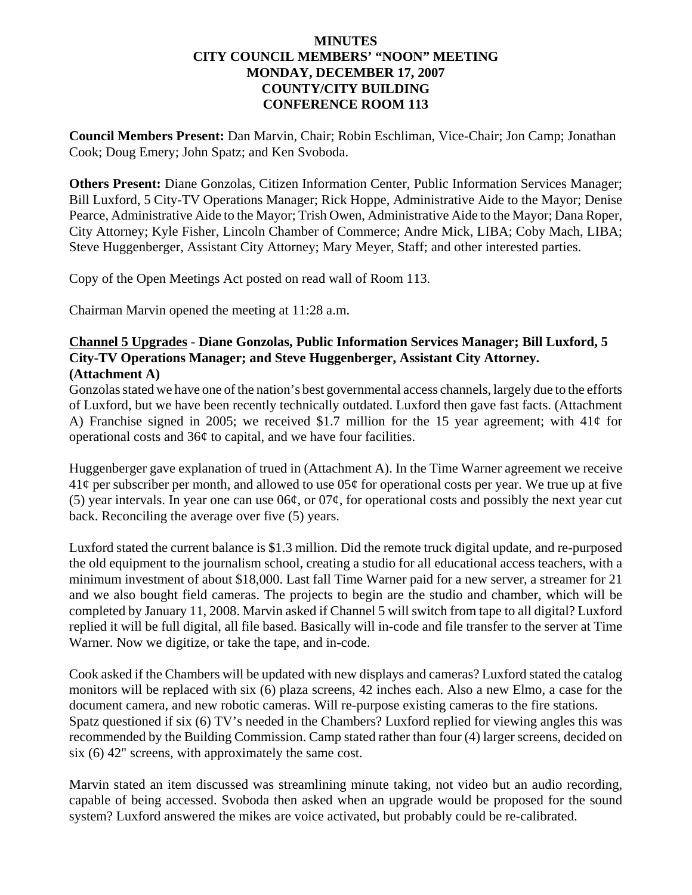#### **MINUTES CITY COUNCIL MEMBERS' "NOON" MEETING MONDAY, DECEMBER 17, 2007 COUNTY/CITY BUILDING CONFERENCE ROOM 113**

**Council Members Present:** Dan Marvin, Chair; Robin Eschliman, Vice-Chair; Jon Camp; Jonathan Cook; Doug Emery; John Spatz; and Ken Svoboda.

**Others Present:** Diane Gonzolas, Citizen Information Center, Public Information Services Manager; Bill Luxford, 5 City-TV Operations Manager; Rick Hoppe, Administrative Aide to the Mayor; Denise Pearce, Administrative Aide to the Mayor; Trish Owen, Administrative Aide to the Mayor; Dana Roper, City Attorney; Kyle Fisher, Lincoln Chamber of Commerce; Andre Mick, LIBA; Coby Mach, LIBA; Steve Huggenberger, Assistant City Attorney; Mary Meyer, Staff; and other interested parties.

Copy of the Open Meetings Act posted on read wall of Room 113.

Chairman Marvin opened the meeting at 11:28 a.m.

#### **Channel 5 Upgrades** - **Diane Gonzolas, Public Information Services Manager; Bill Luxford, 5 City-TV Operations Manager; and Steve Huggenberger, Assistant City Attorney. (Attachment A)**

Gonzolas stated we have one of the nation's best governmental access channels, largely due to the efforts of Luxford, but we have been recently technically outdated. Luxford then gave fast facts. (Attachment A) Franchise signed in 2005; we received \$1.7 million for the 15 year agreement; with  $41¢$  for operational costs and 36¢ to capital, and we have four facilities.

Huggenberger gave explanation of trued in (Attachment A). In the Time Warner agreement we receive  $41¢$  per subscriber per month, and allowed to use  $05¢$  for operational costs per year. We true up at five (5) year intervals. In year one can use  $06¢$ , or  $07¢$ , for operational costs and possibly the next year cut back. Reconciling the average over five (5) years.

Luxford stated the current balance is \$1.3 million. Did the remote truck digital update, and re-purposed the old equipment to the journalism school, creating a studio for all educational access teachers, with a minimum investment of about \$18,000. Last fall Time Warner paid for a new server, a streamer for 21 and we also bought field cameras. The projects to begin are the studio and chamber, which will be completed by January 11, 2008. Marvin asked if Channel 5 will switch from tape to all digital? Luxford replied it will be full digital, all file based. Basically will in-code and file transfer to the server at Time Warner. Now we digitize, or take the tape, and in-code.

Cook asked if the Chambers will be updated with new displays and cameras? Luxford stated the catalog monitors will be replaced with six (6) plaza screens, 42 inches each. Also a new Elmo, a case for the document camera, and new robotic cameras. Will re-purpose existing cameras to the fire stations. Spatz questioned if six (6) TV's needed in the Chambers? Luxford replied for viewing angles this was recommended by the Building Commission. Camp stated rather than four (4) larger screens, decided on six (6) 42" screens, with approximately the same cost.

Marvin stated an item discussed was streamlining minute taking, not video but an audio recording, capable of being accessed. Svoboda then asked when an upgrade would be proposed for the sound system? Luxford answered the mikes are voice activated, but probably could be re-calibrated.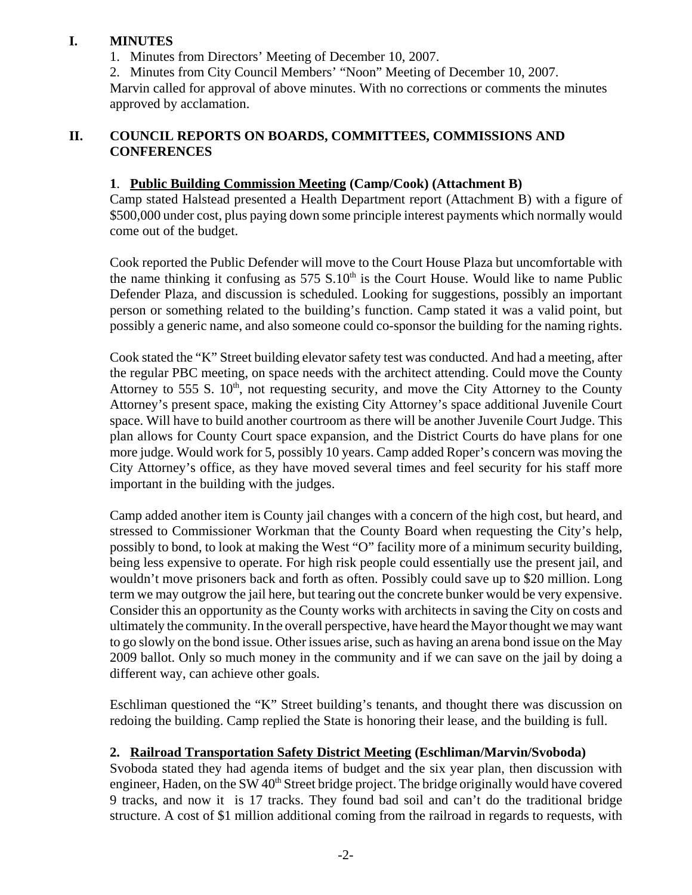#### **I. MINUTES**

1. Minutes from Directors' Meeting of December 10, 2007.

2. Minutes from City Council Members' "Noon" Meeting of December 10, 2007.

Marvin called for approval of above minutes. With no corrections or comments the minutes approved by acclamation.

#### **II. COUNCIL REPORTS ON BOARDS, COMMITTEES, COMMISSIONS AND CONFERENCES**

#### **1**. **Public Building Commission Meeting (Camp/Cook) (Attachment B)**

Camp stated Halstead presented a Health Department report (Attachment B) with a figure of \$500,000 under cost, plus paying down some principle interest payments which normally would come out of the budget.

Cook reported the Public Defender will move to the Court House Plaza but uncomfortable with the name thinking it confusing as  $575 S.10<sup>th</sup>$  is the Court House. Would like to name Public Defender Plaza, and discussion is scheduled. Looking for suggestions, possibly an important person or something related to the building's function. Camp stated it was a valid point, but possibly a generic name, and also someone could co-sponsor the building for the naming rights.

Cook stated the "K" Street building elevator safety test was conducted. And had a meeting, after the regular PBC meeting, on space needs with the architect attending. Could move the County Attorney to 555 S.  $10<sup>th</sup>$ , not requesting security, and move the City Attorney to the County Attorney's present space, making the existing City Attorney's space additional Juvenile Court space. Will have to build another courtroom as there will be another Juvenile Court Judge. This plan allows for County Court space expansion, and the District Courts do have plans for one more judge. Would work for 5, possibly 10 years. Camp added Roper's concern was moving the City Attorney's office, as they have moved several times and feel security for his staff more important in the building with the judges.

Camp added another item is County jail changes with a concern of the high cost, but heard, and stressed to Commissioner Workman that the County Board when requesting the City's help, possibly to bond, to look at making the West "O" facility more of a minimum security building, being less expensive to operate. For high risk people could essentially use the present jail, and wouldn't move prisoners back and forth as often. Possibly could save up to \$20 million. Long term we may outgrow the jail here, but tearing out the concrete bunker would be very expensive. Consider this an opportunity as the County works with architects in saving the City on costs and ultimately the community. In the overall perspective, have heard the Mayor thought we may want to go slowly on the bond issue. Other issues arise, such as having an arena bond issue on the May 2009 ballot. Only so much money in the community and if we can save on the jail by doing a different way, can achieve other goals.

Eschliman questioned the "K" Street building's tenants, and thought there was discussion on redoing the building. Camp replied the State is honoring their lease, and the building is full.

#### **2. Railroad Transportation Safety District Meeting (Eschliman/Marvin/Svoboda)**

Svoboda stated they had agenda items of budget and the six year plan, then discussion with engineer, Haden, on the SW 40<sup>th</sup> Street bridge project. The bridge originally would have covered 9 tracks, and now it is 17 tracks. They found bad soil and can't do the traditional bridge structure. A cost of \$1 million additional coming from the railroad in regards to requests, with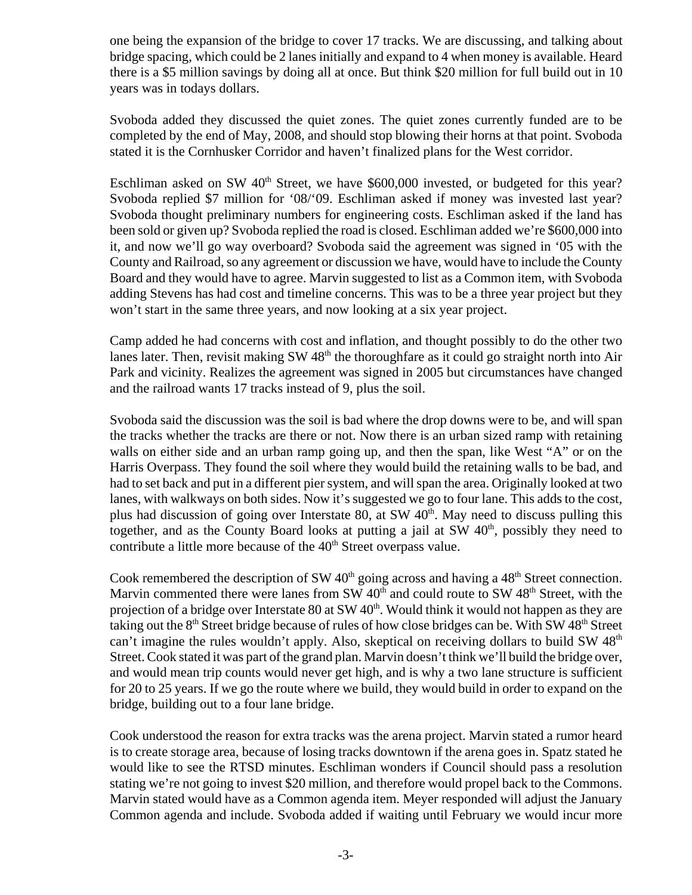one being the expansion of the bridge to cover 17 tracks. We are discussing, and talking about bridge spacing, which could be 2 lanes initially and expand to 4 when money is available. Heard there is a \$5 million savings by doing all at once. But think \$20 million for full build out in 10 years was in todays dollars.

Svoboda added they discussed the quiet zones. The quiet zones currently funded are to be completed by the end of May, 2008, and should stop blowing their horns at that point. Svoboda stated it is the Cornhusker Corridor and haven't finalized plans for the West corridor.

Eschliman asked on SW 40<sup>th</sup> Street, we have \$600,000 invested, or budgeted for this year? Svoboda replied \$7 million for '08/'09. Eschliman asked if money was invested last year? Svoboda thought preliminary numbers for engineering costs. Eschliman asked if the land has been sold or given up? Svoboda replied the road is closed. Eschliman added we're \$600,000 into it, and now we'll go way overboard? Svoboda said the agreement was signed in '05 with the County and Railroad, so any agreement or discussion we have, would have to include the County Board and they would have to agree. Marvin suggested to list as a Common item, with Svoboda adding Stevens has had cost and timeline concerns. This was to be a three year project but they won't start in the same three years, and now looking at a six year project.

Camp added he had concerns with cost and inflation, and thought possibly to do the other two lanes later. Then, revisit making SW 48<sup>th</sup> the thoroughfare as it could go straight north into Air Park and vicinity. Realizes the agreement was signed in 2005 but circumstances have changed and the railroad wants 17 tracks instead of 9, plus the soil.

Svoboda said the discussion was the soil is bad where the drop downs were to be, and will span the tracks whether the tracks are there or not. Now there is an urban sized ramp with retaining walls on either side and an urban ramp going up, and then the span, like West "A" or on the Harris Overpass. They found the soil where they would build the retaining walls to be bad, and had to set back and put in a different pier system, and will span the area. Originally looked at two lanes, with walkways on both sides. Now it's suggested we go to four lane. This adds to the cost, plus had discussion of going over Interstate 80, at SW  $40<sup>th</sup>$ . May need to discuss pulling this together, and as the County Board looks at putting a jail at  $SW$  40<sup>th</sup>, possibly they need to contribute a little more because of the  $40<sup>th</sup>$  Street overpass value.

Cook remembered the description of SW  $40<sup>th</sup>$  going across and having a  $48<sup>th</sup>$  Street connection. Marvin commented there were lanes from SW  $40<sup>th</sup>$  and could route to SW  $48<sup>th</sup>$  Street, with the projection of a bridge over Interstate  $80$  at SW  $40<sup>th</sup>$ . Would think it would not happen as they are taking out the  $8<sup>th</sup>$  Street bridge because of rules of how close bridges can be. With SW 48<sup>th</sup> Street can't imagine the rules wouldn't apply. Also, skeptical on receiving dollars to build SW  $48<sup>th</sup>$ Street. Cook stated it was part of the grand plan. Marvin doesn't think we'll build the bridge over, and would mean trip counts would never get high, and is why a two lane structure is sufficient for 20 to 25 years. If we go the route where we build, they would build in order to expand on the bridge, building out to a four lane bridge.

Cook understood the reason for extra tracks was the arena project. Marvin stated a rumor heard is to create storage area, because of losing tracks downtown if the arena goes in. Spatz stated he would like to see the RTSD minutes. Eschliman wonders if Council should pass a resolution stating we're not going to invest \$20 million, and therefore would propel back to the Commons. Marvin stated would have as a Common agenda item. Meyer responded will adjust the January Common agenda and include. Svoboda added if waiting until February we would incur more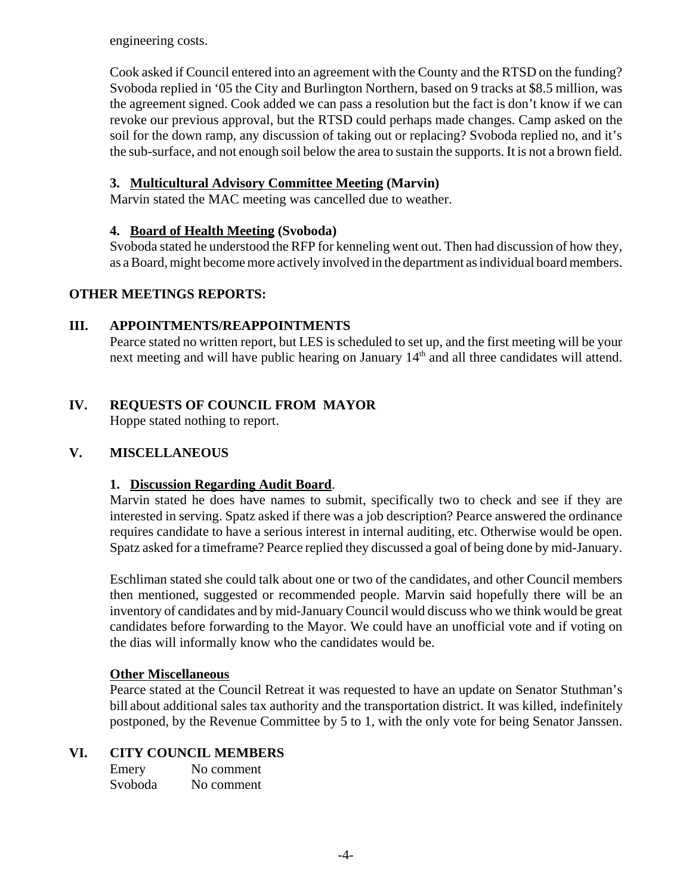engineering costs.

Cook asked if Council entered into an agreement with the County and the RTSD on the funding? Svoboda replied in '05 the City and Burlington Northern, based on 9 tracks at \$8.5 million, was the agreement signed. Cook added we can pass a resolution but the fact is don't know if we can revoke our previous approval, but the RTSD could perhaps made changes. Camp asked on the soil for the down ramp, any discussion of taking out or replacing? Svoboda replied no, and it's the sub-surface, and not enough soil below the area to sustain the supports. It is not a brown field.

## **3. Multicultural Advisory Committee Meeting (Marvin)**

Marvin stated the MAC meeting was cancelled due to weather.

#### **4. Board of Health Meeting (Svoboda)**

Svoboda stated he understood the RFP for kenneling went out. Then had discussion of how they, as a Board, might become more actively involved in the department as individual board members.

#### **OTHER MEETINGS REPORTS:**

#### **III. APPOINTMENTS/REAPPOINTMENTS**

Pearce stated no written report, but LES is scheduled to set up, and the first meeting will be your next meeting and will have public hearing on January 14<sup>th</sup> and all three candidates will attend.

# **IV. REQUESTS OF COUNCIL FROM MAYOR**

Hoppe stated nothing to report.

#### **V. MISCELLANEOUS**

#### **1. Discussion Regarding Audit Board**.

Marvin stated he does have names to submit, specifically two to check and see if they are interested in serving. Spatz asked if there was a job description? Pearce answered the ordinance requires candidate to have a serious interest in internal auditing, etc. Otherwise would be open. Spatz asked for a timeframe? Pearce replied they discussed a goal of being done by mid-January.

Eschliman stated she could talk about one or two of the candidates, and other Council members then mentioned, suggested or recommended people. Marvin said hopefully there will be an inventory of candidates and by mid-January Council would discuss who we think would be great candidates before forwarding to the Mayor. We could have an unofficial vote and if voting on the dias will informally know who the candidates would be.

#### **Other Miscellaneous**

Pearce stated at the Council Retreat it was requested to have an update on Senator Stuthman's bill about additional sales tax authority and the transportation district. It was killed, indefinitely postponed, by the Revenue Committee by 5 to 1, with the only vote for being Senator Janssen.

#### **VI. CITY COUNCIL MEMBERS**

Emery No comment Svoboda No comment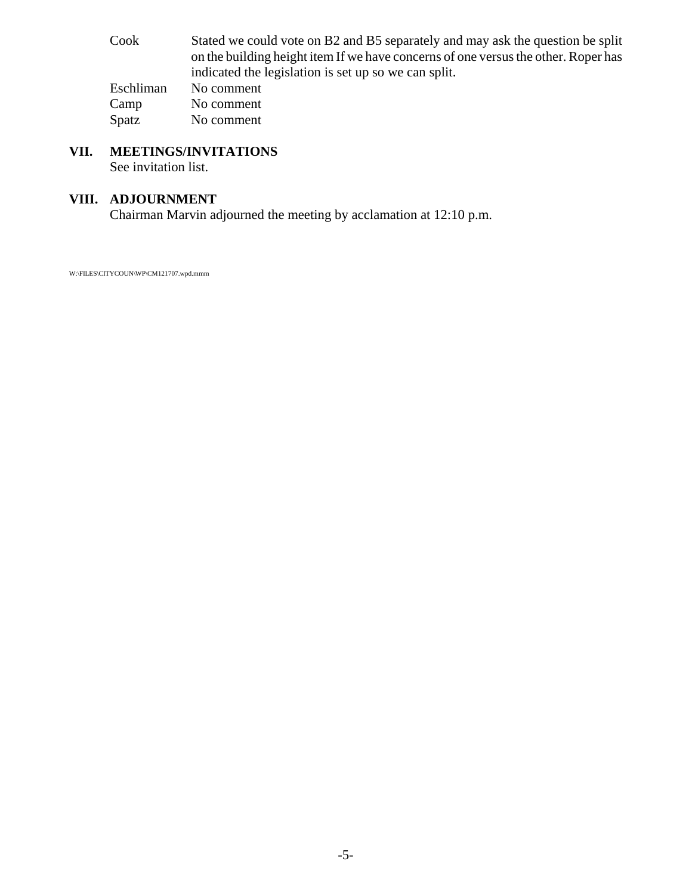Cook Stated we could vote on B2 and B5 separately and may ask the question be split on the building height item If we have concerns of one versus the other. Roper has indicated the legislation is set up so we can split. Eschliman No comment Camp No comment Spatz No comment

# **VII. MEETINGS/INVITATIONS**

See invitation list.

### **VIII. ADJOURNMENT**

Chairman Marvin adjourned the meeting by acclamation at 12:10 p.m.

W:\FILES\CITYCOUN\WP\CM121707.wpd.mmm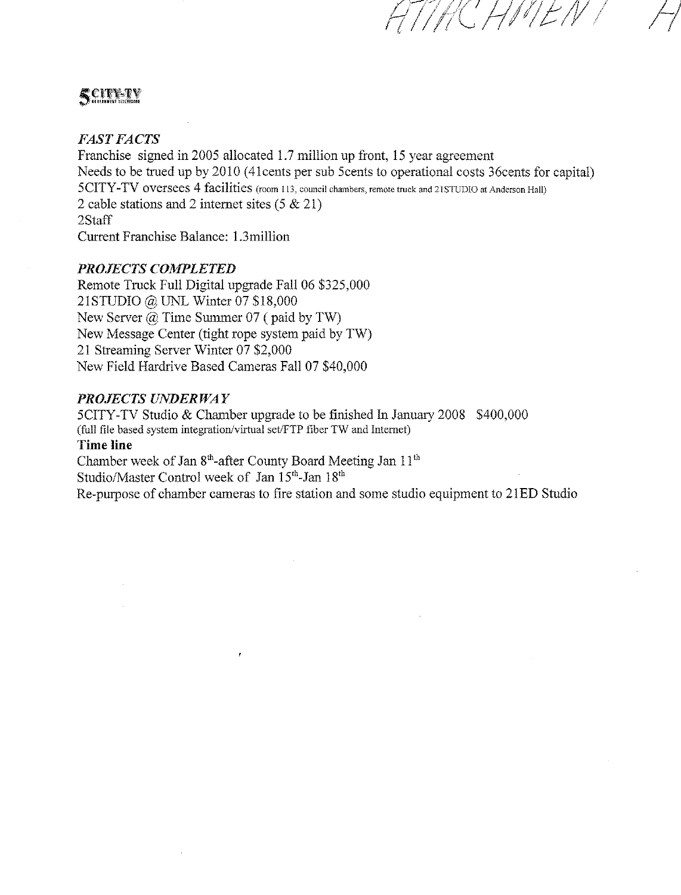# **SCITERY**

#### **FAST FACTS**

Franchise signed in 2005 allocated 1.7 million up front, 15 year agreement Needs to be trued up by 2010 (41 cents per sub 5 cents to operational costs 36 cents for capital) 5CITY-TV oversees 4 facilities (room 113, council chambers, remote truck and 21STUDIO at Anderson Hall) 2 cable stations and 2 internet sites  $(5 \& 21)$ 2Staff Current Franchise Balance: 1.3 million

CHMEN

#### **PROJECTS COMPLETED**

Remote Truck Full Digital upgrade Fall 06 \$325,000 21STUDIO @ UNL Winter 07 \$18,000 New Server  $(a)$  Time Summer 07 (paid by TW) New Message Center (tight rope system paid by TW) 21 Streaming Server Winter 07 \$2,000 New Field Hardrive Based Cameras Fall 07 \$40,000

#### PROJECTS UNDERWAY

5CITY-TV Studio & Chamber upgrade to be finished In January 2008 \$400,000 (full file based system integration/virtual set/FTP fiber TW and Internet) **Time line** Chamber week of Jan 8<sup>th</sup>-after County Board Meeting Jan 11<sup>th</sup> Studio/Master Control week of Jan 15th-Jan 18th Re-purpose of chamber cameras to fire station and some studio equipment to 21ED Studio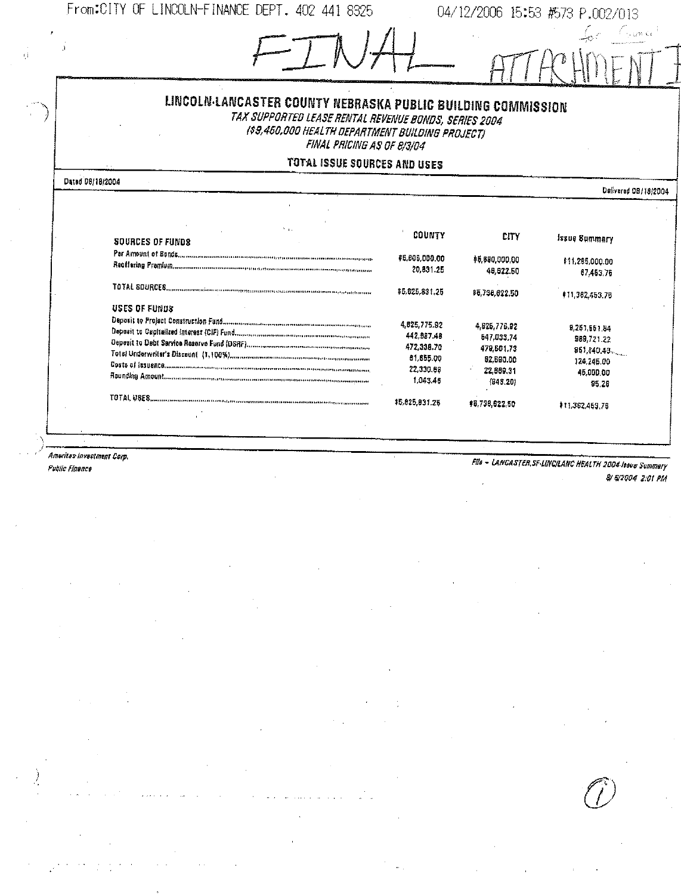From:CITY OF LINCOLN-FINANCE DEPT. 402 441 8325

04/12/2006 15:53 #573 P.002/013

| LINCOLN-LANCASTER COUNTY NEBRASKA PUBLIC BUILDING COMMISSION<br>TAX SUPPORTED LEASE RENTAL REVENUE BONDS, SERIES 2004<br>(\$9,460,000 HEALTH DEPARTMENT BUILDING PROJECT)<br>FINAL PRICING AS OF 8/3/04                                                                                                                                                                                                                                             |                                                                               |                                                                                |                                                                              |  |
|-----------------------------------------------------------------------------------------------------------------------------------------------------------------------------------------------------------------------------------------------------------------------------------------------------------------------------------------------------------------------------------------------------------------------------------------------------|-------------------------------------------------------------------------------|--------------------------------------------------------------------------------|------------------------------------------------------------------------------|--|
| <b>TOTAL ISSUE SOURCES AND USES</b>                                                                                                                                                                                                                                                                                                                                                                                                                 |                                                                               |                                                                                |                                                                              |  |
| Dated 08/18/2004                                                                                                                                                                                                                                                                                                                                                                                                                                    |                                                                               |                                                                                | Delivered 08/18/2004                                                         |  |
|                                                                                                                                                                                                                                                                                                                                                                                                                                                     |                                                                               |                                                                                |                                                                              |  |
|                                                                                                                                                                                                                                                                                                                                                                                                                                                     |                                                                               |                                                                                |                                                                              |  |
| <b>SOURCES OF FUNDS</b>                                                                                                                                                                                                                                                                                                                                                                                                                             | COUNTY                                                                        | <b>CITY</b>                                                                    | <b>Issue Summary</b>                                                         |  |
| PSF AMOUR! Of BORGS.com/communications/communications/communications/communications/                                                                                                                                                                                                                                                                                                                                                                | <b>\$5,805,000.00</b><br>20,831.25                                            | \$5,590,000.00<br>48,822.50                                                    | \$11,285,000.00<br>67,463,76                                                 |  |
|                                                                                                                                                                                                                                                                                                                                                                                                                                                     | #5.825,831.25                                                                 | \$5,738,622,50                                                                 | #11,362,453,76                                                               |  |
| <b>USES OF FUNDS</b><br>Total Underwriter's Discount (1,100%). Commonweaver in consequent in the constraint of<br>Costs of issuence announcement of the continue of the continue of the continue of the community of the continue of the continue of the continue of the continue of the continue of the continue of the continue of the continu<br>Rounding Amount Concernance in the community of the community of the community of the community | 4825,775.92<br>442,887.48<br>472.338.70<br>81,855,00<br>22,330.68<br>1,043.46 | 4,625,776.92<br>547,033,74<br>479,501.73<br>62,690.00<br>22,669,31<br>(943.20) | 9,251,561,84<br>889,721.22<br>861,840.48<br>124,245.00<br>46.000.00<br>95.26 |  |
|                                                                                                                                                                                                                                                                                                                                                                                                                                                     | \$5,025,031.25                                                                | \$6,736,622,50                                                                 | 111,362,463.78                                                               |  |

Ameritas investment Corp.

Public Finance

 $\ell_1^{\pm}$ 

**File - LANCASTER, SF-LINC/LANC HEALTH 2004 Issue Summery** & & 2004 2:01 PM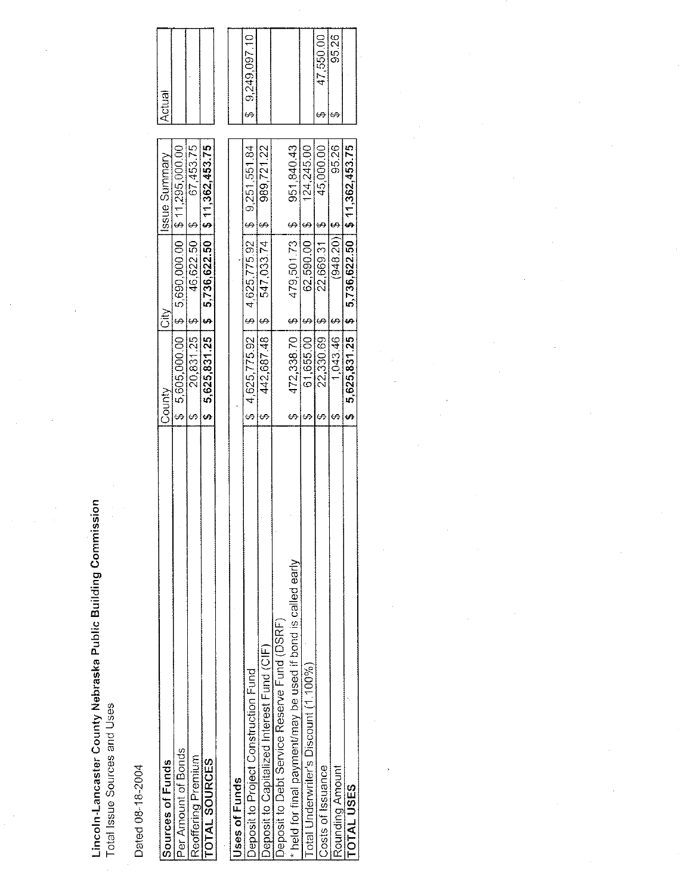Lincoln-Lancaster County Nebraska Public Building Commission<br>Total Issue Sources and Uses

 $\bar{z}$ 

Dated 08-18-2004

| Sources of Funds                                             | County |                   | it⊘<br>Ö                   | Issue Summary                                         | Actual |                |
|--------------------------------------------------------------|--------|-------------------|----------------------------|-------------------------------------------------------|--------|----------------|
| Per Amount of Bonds                                          |        |                   |                            | $$5,605,000.001$ $$5,690,000.001$ $$11,295,000.000$   |        |                |
| Reoffering Premium                                           |        | 20,831.25         | 46,622.50   \$<br><u>မ</u> | 67,453.75                                             |        |                |
| TOTAL SOURCES                                                |        |                   |                            | $$5,625,831.25$   \$ $5,736,622.50$   \$11,362,453.75 |        |                |
|                                                              |        |                   |                            |                                                       |        |                |
| <b>Jses of Funds</b>                                         |        |                   |                            |                                                       |        |                |
| Deposit to Project Construction Fund                         |        |                   |                            | $$4,625,775.92$$ $$4,625,775.92$$ $$5,9,251,551.84$$  |        | \$9,249,097.10 |
| Deposit to Capitalized Interest Fund (CIF)                   |        | 442,687.48        | 547,033.74<br><u>မ</u>     | 989,721.22<br>$\frac{6}{1}$                           |        |                |
| Deposit to Debt Service Reserve Fund (DSRF)                  |        |                   |                            |                                                       |        |                |
| * held for final payment/may be used if bond is called early |        | $472,338.70$   \$ | 479,501.73   \$            | 951,840.43                                            |        |                |
| Total Underwriter's Discount (1.100%)                        |        | 61,655.00         | 62,590.00                  | 124,245.00<br>မှ<br>-                                 |        |                |
| Costs of Issuance                                            |        | 22,330.69         | 22,669.31<br>မာ            | 45,000.00                                             |        | 47,550.00      |
| Rounding Amount                                              |        | $1,043.46$   \$   | $(948, 20)$ \$             | 95.26                                                 |        | 95.26          |
| <b>TOTAL USES</b>                                            |        |                   |                            | $$5,625,831.25$   \$ $$736,622.50$   \$11,362,453.75  |        |                |

Actual